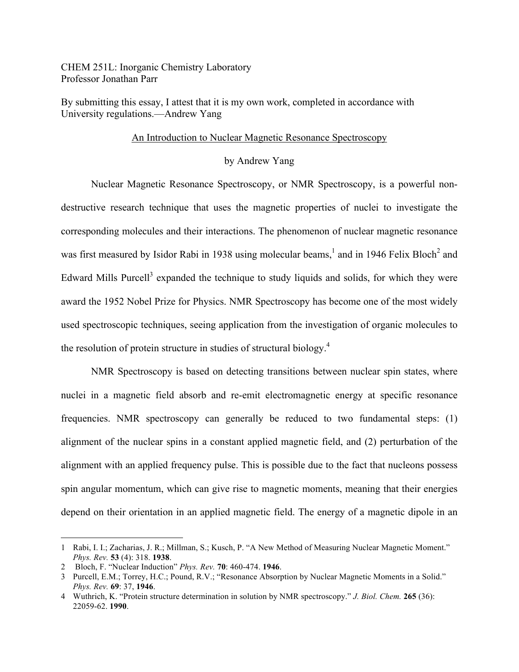CHEM 251L: Inorganic Chemistry Laboratory Professor Jonathan Parr

By submitting this essay, I attest that it is my own work, completed in accordance with University regulations.—Andrew Yang

## An Introduction to Nuclear Magnetic Resonance Spectroscopy

## by Andrew Yang

Nuclear Magnetic Resonance Spectroscopy, or NMR Spectroscopy, is a powerful nondestructive research technique that uses the magnetic properties of nuclei to investigate the corresponding molecules and their interactions. The phenomenon of nuclear magnetic resonance was first measured by Isidor Rabi in 1938 using molecular beams,<sup>1</sup> and in 1946 Felix Bloch<sup>2</sup> and Edward Mills Purcell<sup>3</sup> expanded the technique to study liquids and solids, for which they were award the 1952 Nobel Prize for Physics. NMR Spectroscopy has become one of the most widely used spectroscopic techniques, seeing application from the investigation of organic molecules to the resolution of protein structure in studies of structural biology.4

NMR Spectroscopy is based on detecting transitions between nuclear spin states, where nuclei in a magnetic field absorb and re-emit electromagnetic energy at specific resonance frequencies. NMR spectroscopy can generally be reduced to two fundamental steps: (1) alignment of the nuclear spins in a constant applied magnetic field, and (2) perturbation of the alignment with an applied frequency pulse. This is possible due to the fact that nucleons possess spin angular momentum, which can give rise to magnetic moments, meaning that their energies depend on their orientation in an applied magnetic field. The energy of a magnetic dipole in an

 <sup>1</sup> Rabi, I. I.; Zacharias, J. R.; Millman, S.; Kusch, P. "A New Method of Measuring Nuclear Magnetic Moment." *Phys. Rev.* **53** (4): 318. **1938**.

<sup>2</sup> Bloch, F. "Nuclear Induction" *Phys. Rev.* **70**: 460-474. **1946**.

<sup>3</sup> Purcell, E.M.; Torrey, H.C.; Pound, R.V.; "Resonance Absorption by Nuclear Magnetic Moments in a Solid." *Phys. Rev.* **69**: 37, **1946**.

<sup>4</sup> Wuthrich, K. "Protein structure determination in solution by NMR spectroscopy." *J. Biol. Chem.* **265** (36): 22059-62. **1990**.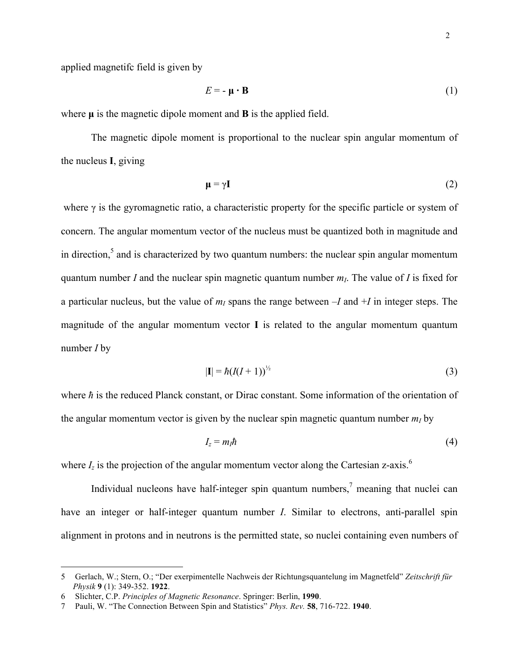$$
E = -\mu \cdot \mathbf{B} \tag{1}
$$

where  $\mu$  is the magnetic dipole moment and  $\bf{B}$  is the applied field.

The magnetic dipole moment is proportional to the nuclear spin angular momentum of the nucleus **I**, giving

$$
\mathbf{\mu} = \gamma \mathbf{I} \tag{2}
$$

where  $\gamma$  is the gyromagnetic ratio, a characteristic property for the specific particle or system of concern. The angular momentum vector of the nucleus must be quantized both in magnitude and in direction, $5$  and is characterized by two quantum numbers: the nuclear spin angular momentum quantum number *I* and the nuclear spin magnetic quantum number  $m<sub>L</sub>$ . The value of *I* is fixed for a particular nucleus, but the value of  $m<sub>I</sub>$  spans the range between  $-I$  and  $+I$  in integer steps. The magnitude of the angular momentum vector **I** is related to the angular momentum quantum number *I* by

$$
|\mathbf{I}| = \hbar (I(I+1))^{1/2} \tag{3}
$$

where *h* is the reduced Planck constant, or Dirac constant. Some information of the orientation of the angular momentum vector is given by the nuclear spin magnetic quantum number  $m<sub>I</sub>$  by

$$
I_z = m_l \hbar \tag{4}
$$

where  $I_z$  is the projection of the angular momentum vector along the Cartesian z-axis.<sup>6</sup>

Individual nucleons have half-integer spin quantum numbers, $\frac{7}{1}$  meaning that nuclei can have an integer or half-integer quantum number *I*. Similar to electrons, anti-parallel spin alignment in protons and in neutrons is the permitted state, so nuclei containing even numbers of

 <sup>5</sup> Gerlach, W.; Stern, O.; "Der exerpimentelle Nachweis der Richtungsquantelung im Magnetfeld" *Zeitschrift für Physik* **9** (1): 349-352. **1922**.

<sup>6</sup> Slichter, C.P. *Principles of Magnetic Resonance*. Springer: Berlin, **1990**.

<sup>7</sup> Pauli, W. "The Connection Between Spin and Statistics" *Phys. Rev.* **58**, 716-722. **1940**.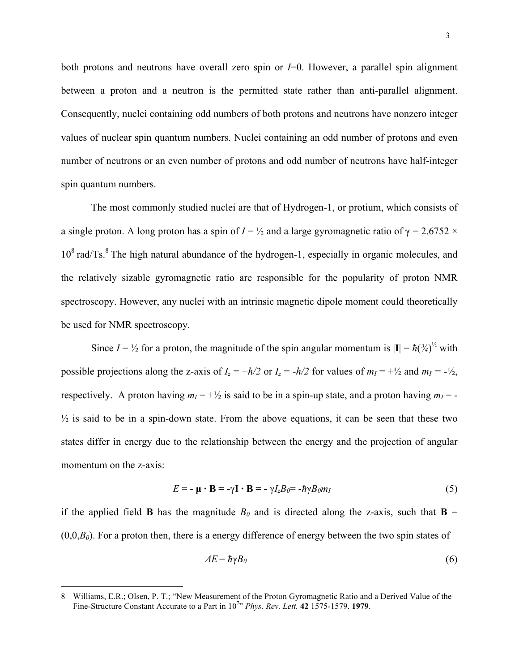both protons and neutrons have overall zero spin or *I*=0. However, a parallel spin alignment between a proton and a neutron is the permitted state rather than anti-parallel alignment. Consequently, nuclei containing odd numbers of both protons and neutrons have nonzero integer values of nuclear spin quantum numbers. Nuclei containing an odd number of protons and even number of neutrons or an even number of protons and odd number of neutrons have half-integer spin quantum numbers.

The most commonly studied nuclei are that of Hydrogen-1, or protium, which consists of a single proton. A long proton has a spin of  $I = \frac{1}{2}$  and a large gyromagnetic ratio of  $\gamma = 2.6752 \times$  $10^8$  rad/Ts. $8$  The high natural abundance of the hydrogen-1, especially in organic molecules, and the relatively sizable gyromagnetic ratio are responsible for the popularity of proton NMR spectroscopy. However, any nuclei with an intrinsic magnetic dipole moment could theoretically be used for NMR spectroscopy.

Since  $I = \frac{1}{2}$  for a proton, the magnitude of the spin angular momentum is  $|\mathbf{I}| = \hbar(\frac{3}{4})^{\frac{1}{2}}$  with possible projections along the z-axis of  $I_z = +\hbar/2$  or  $I_z = -\hbar/2$  for values of  $m_I = +\frac{1}{2}$  and  $m_I = -\frac{1}{2}$ , respectively. A proton having  $m<sub>I</sub> = +\frac{1}{2}$  is said to be in a spin-up state, and a proton having  $m<sub>I</sub> = -\frac{1}{2}$  $\frac{1}{2}$  is said to be in a spin-down state. From the above equations, it can be seen that these two states differ in energy due to the relationship between the energy and the projection of angular momentum on the z-axis:

$$
E = -\mu \cdot \mathbf{B} = -\gamma \mathbf{I} \cdot \mathbf{B} = -\gamma I_z B_0 = -\hbar \gamma B_0 m_I
$$
 (5)

if the applied field **B** has the magnitude  $B_0$  and is directed along the z-axis, such that **B** =  $(0,0,B<sub>0</sub>)$ . For a proton then, there is a energy difference of energy between the two spin states of

$$
\Delta E = \hbar \gamma B_0 \tag{6}
$$

 <sup>8</sup> Williams, E.R.; Olsen, P. T.; "New Measurement of the Proton Gyromagnetic Ratio and a Derived Value of the Fine-Structure Constant Accurate to a Part in  $10^{7}$  *Phys. Rev. Lett.* **42** 1575-1579. **1979**.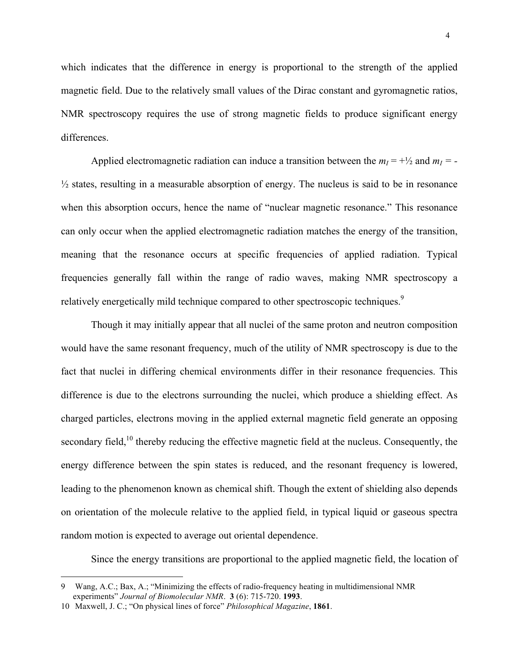which indicates that the difference in energy is proportional to the strength of the applied magnetic field. Due to the relatively small values of the Dirac constant and gyromagnetic ratios, NMR spectroscopy requires the use of strong magnetic fields to produce significant energy differences.

Applied electromagnetic radiation can induce a transition between the  $m_1 = +\frac{1}{2}$  and  $m_1 = -\frac{1}{2}$ ½ states, resulting in a measurable absorption of energy. The nucleus is said to be in resonance when this absorption occurs, hence the name of "nuclear magnetic resonance." This resonance can only occur when the applied electromagnetic radiation matches the energy of the transition, meaning that the resonance occurs at specific frequencies of applied radiation. Typical frequencies generally fall within the range of radio waves, making NMR spectroscopy a relatively energetically mild technique compared to other spectroscopic techniques.<sup>9</sup>

Though it may initially appear that all nuclei of the same proton and neutron composition would have the same resonant frequency, much of the utility of NMR spectroscopy is due to the fact that nuclei in differing chemical environments differ in their resonance frequencies. This difference is due to the electrons surrounding the nuclei, which produce a shielding effect. As charged particles, electrons moving in the applied external magnetic field generate an opposing secondary field,<sup>10</sup> thereby reducing the effective magnetic field at the nucleus. Consequently, the energy difference between the spin states is reduced, and the resonant frequency is lowered, leading to the phenomenon known as chemical shift. Though the extent of shielding also depends on orientation of the molecule relative to the applied field, in typical liquid or gaseous spectra random motion is expected to average out oriental dependence.

Since the energy transitions are proportional to the applied magnetic field, the location of

 <sup>9</sup> Wang, A.C.; Bax, A.; "Minimizing the effects of radio-frequency heating in multidimensional NMR experiments" *Journal of Biomolecular NMR*. **3** (6): 715-720. **1993**.

<sup>10</sup> Maxwell, J. C.; "On physical lines of force" *Philosophical Magazine*, **1861**.